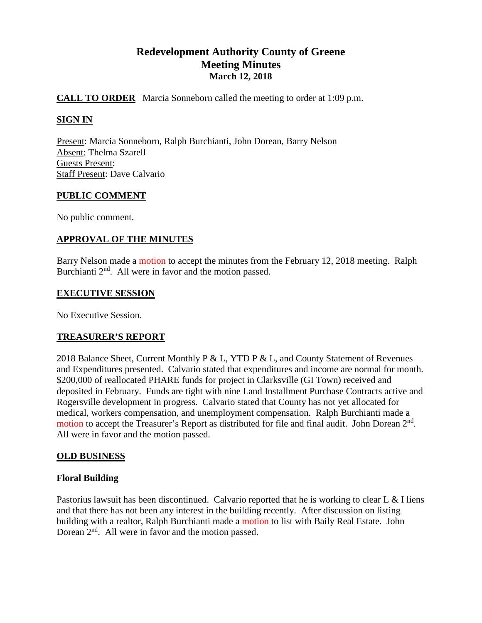# **Redevelopment Authority County of Greene Meeting Minutes March 12, 2018**

# **CALL TO ORDER** Marcia Sonneborn called the meeting to order at 1:09 p.m.

# **SIGN IN**

Present: Marcia Sonneborn, Ralph Burchianti, John Dorean, Barry Nelson Absent: Thelma Szarell Guests Present: Staff Present: Dave Calvario

## **PUBLIC COMMENT**

No public comment.

# **APPROVAL OF THE MINUTES**

Barry Nelson made a motion to accept the minutes from the February 12, 2018 meeting. Ralph Burchianti  $2<sup>nd</sup>$ . All were in favor and the motion passed.

## **EXECUTIVE SESSION**

No Executive Session.

## **TREASURER'S REPORT**

2018 Balance Sheet, Current Monthly P & L, YTD P & L, and County Statement of Revenues and Expenditures presented. Calvario stated that expenditures and income are normal for month. \$200,000 of reallocated PHARE funds for project in Clarksville (GI Town) received and deposited in February. Funds are tight with nine Land Installment Purchase Contracts active and Rogersville development in progress. Calvario stated that County has not yet allocated for medical, workers compensation, and unemployment compensation. Ralph Burchianti made a motion to accept the Treasurer's Report as distributed for file and final audit. John Dorean  $2<sup>nd</sup>$ . All were in favor and the motion passed.

## **OLD BUSINESS**

## **Floral Building**

Pastorius lawsuit has been discontinued. Calvario reported that he is working to clear L & I liens and that there has not been any interest in the building recently. After discussion on listing building with a realtor, Ralph Burchianti made a motion to list with Baily Real Estate. John Dorean  $2<sup>nd</sup>$ . All were in favor and the motion passed.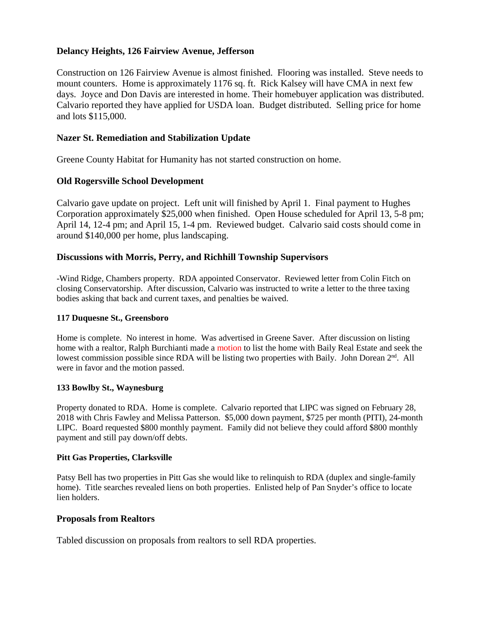## **Delancy Heights, 126 Fairview Avenue, Jefferson**

Construction on 126 Fairview Avenue is almost finished. Flooring was installed. Steve needs to mount counters. Home is approximately 1176 sq. ft. Rick Kalsey will have CMA in next few days. Joyce and Don Davis are interested in home. Their homebuyer application was distributed. Calvario reported they have applied for USDA loan. Budget distributed. Selling price for home and lots \$115,000.

# **Nazer St. Remediation and Stabilization Update**

Greene County Habitat for Humanity has not started construction on home.

# **Old Rogersville School Development**

Calvario gave update on project. Left unit will finished by April 1. Final payment to Hughes Corporation approximately \$25,000 when finished. Open House scheduled for April 13, 5-8 pm; April 14, 12-4 pm; and April 15, 1-4 pm. Reviewed budget. Calvario said costs should come in around \$140,000 per home, plus landscaping.

## **Discussions with Morris, Perry, and Richhill Township Supervisors**

-Wind Ridge, Chambers property. RDA appointed Conservator. Reviewed letter from Colin Fitch on closing Conservatorship. After discussion, Calvario was instructed to write a letter to the three taxing bodies asking that back and current taxes, and penalties be waived.

## **117 Duquesne St., Greensboro**

Home is complete. No interest in home. Was advertised in Greene Saver. After discussion on listing home with a realtor, Ralph Burchianti made a motion to list the home with Baily Real Estate and seek the lowest commission possible since RDA will be listing two properties with Baily. John Dorean 2<sup>nd</sup>. All were in favor and the motion passed.

## **133 Bowlby St., Waynesburg**

Property donated to RDA. Home is complete. Calvario reported that LIPC was signed on February 28, 2018 with Chris Fawley and Melissa Patterson. \$5,000 down payment, \$725 per month (PITI), 24-month LIPC. Board requested \$800 monthly payment. Family did not believe they could afford \$800 monthly payment and still pay down/off debts.

#### **Pitt Gas Properties, Clarksville**

Patsy Bell has two properties in Pitt Gas she would like to relinquish to RDA (duplex and single-family home). Title searches revealed liens on both properties. Enlisted help of Pan Snyder's office to locate lien holders.

#### **Proposals from Realtors**

Tabled discussion on proposals from realtors to sell RDA properties.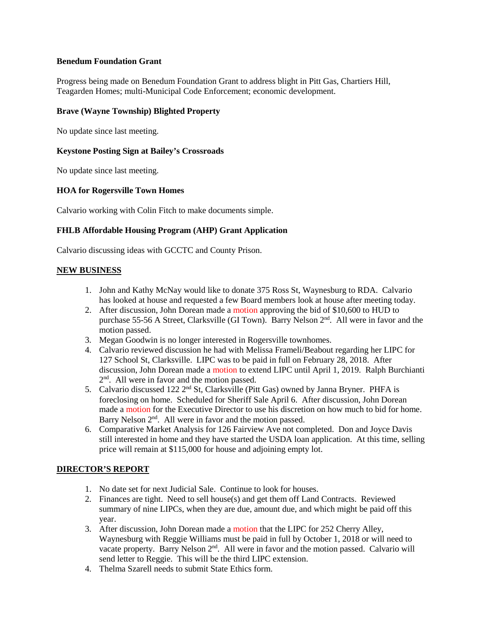#### **Benedum Foundation Grant**

Progress being made on Benedum Foundation Grant to address blight in Pitt Gas, Chartiers Hill, Teagarden Homes; multi-Municipal Code Enforcement; economic development.

#### **Brave (Wayne Township) Blighted Property**

No update since last meeting.

#### **Keystone Posting Sign at Bailey's Crossroads**

No update since last meeting.

#### **HOA for Rogersville Town Homes**

Calvario working with Colin Fitch to make documents simple.

#### **FHLB Affordable Housing Program (AHP) Grant Application**

Calvario discussing ideas with GCCTC and County Prison.

#### **NEW BUSINESS**

- 1. John and Kathy McNay would like to donate 375 Ross St, Waynesburg to RDA. Calvario has looked at house and requested a few Board members look at house after meeting today.
- 2. After discussion, John Dorean made a motion approving the bid of \$10,600 to HUD to purchase 55-56 A Street, Clarksville (GI Town). Barry Nelson 2<sup>nd</sup>. All were in favor and the motion passed.
- 3. Megan Goodwin is no longer interested in Rogersville townhomes.
- 4. Calvario reviewed discussion he had with Melissa Frameli/Beabout regarding her LIPC for 127 School St, Clarksville. LIPC was to be paid in full on February 28, 2018. After discussion, John Dorean made a motion to extend LIPC until April 1, 2019. Ralph Burchianti 2<sup>nd</sup>. All were in favor and the motion passed.
- 5. Calvario discussed 122 2<sup>nd</sup> St, Clarksville (Pitt Gas) owned by Janna Bryner. PHFA is foreclosing on home. Scheduled for Sheriff Sale April 6. After discussion, John Dorean made a motion for the Executive Director to use his discretion on how much to bid for home. Barry Nelson 2<sup>nd</sup>. All were in favor and the motion passed.
- 6. Comparative Market Analysis for 126 Fairview Ave not completed. Don and Joyce Davis still interested in home and they have started the USDA loan application. At this time, selling price will remain at \$115,000 for house and adjoining empty lot.

## **DIRECTOR'S REPORT**

- 1. No date set for next Judicial Sale. Continue to look for houses.
- 2. Finances are tight. Need to sell house(s) and get them off Land Contracts. Reviewed summary of nine LIPCs, when they are due, amount due, and which might be paid off this year.
- 3. After discussion, John Dorean made a motion that the LIPC for 252 Cherry Alley, Waynesburg with Reggie Williams must be paid in full by October 1, 2018 or will need to vacate property. Barry Nelson 2<sup>nd</sup>. All were in favor and the motion passed. Calvario will send letter to Reggie. This will be the third LIPC extension.
- 4. Thelma Szarell needs to submit State Ethics form.